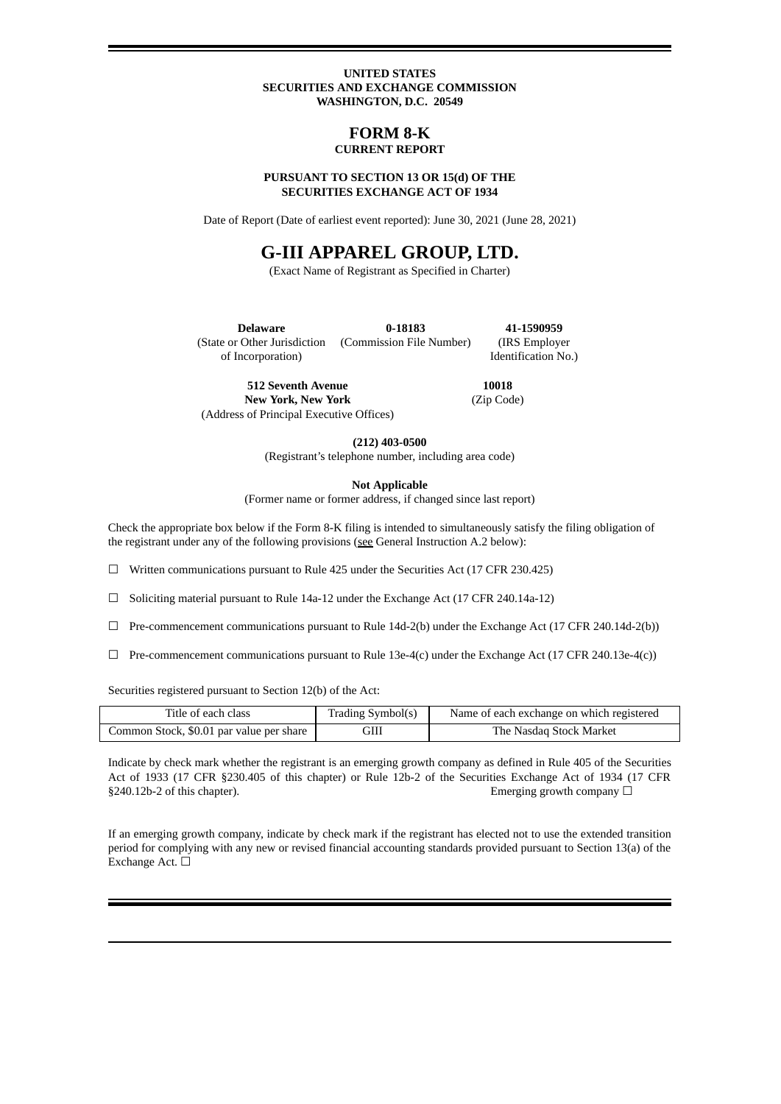### **UNITED STATES SECURITIES AND EXCHANGE COMMISSION WASHINGTON, D.C. 20549**

### **FORM 8-K CURRENT REPORT**

#### **PURSUANT TO SECTION 13 OR 15(d) OF THE SECURITIES EXCHANGE ACT OF 1934**

Date of Report (Date of earliest event reported): June 30, 2021 (June 28, 2021)

# **G-III APPAREL GROUP, LTD.**

(Exact Name of Registrant as Specified in Charter)

**Delaware** (State or Other Jurisdiction of Incorporation) **0-18183** (Commission File Number) **41-1590959** (IRS Employer Identification No.)

**512 Seventh Avenue New York, New York** (Address of Principal Executive Offices)

**10018** (Zip Code)

**(212) 403-0500**

(Registrant's telephone number, including area code)

**Not Applicable**

(Former name or former address, if changed since last report)

Check the appropriate box below if the Form 8-K filing is intended to simultaneously satisfy the filing obligation of the registrant under any of the following provisions (see General Instruction A.2 below):

 $\Box$  Written communications pursuant to Rule 425 under the Securities Act (17 CFR 230.425)

☐ Soliciting material pursuant to Rule 14a-12 under the Exchange Act (17 CFR 240.14a-12)

- $\Box$  Pre-commencement communications pursuant to Rule 14d-2(b) under the Exchange Act (17 CFR 240.14d-2(b))
- $\Box$  Pre-commencement communications pursuant to Rule 13e-4(c) under the Exchange Act (17 CFR 240.13e-4(c))

Securities registered pursuant to Section 12(b) of the Act:

| Title of each class                      | Trading Symbol(s) | Name of each exchange on which registered |
|------------------------------------------|-------------------|-------------------------------------------|
| Common Stock, \$0.01 par value per share | GIII              | The Nasdag Stock Market                   |

Indicate by check mark whether the registrant is an emerging growth company as defined in Rule 405 of the Securities Act of 1933 (17 CFR §230.405 of this chapter) or Rule 12b-2 of the Securities Exchange Act of 1934 (17 CFR  $§240.12b-2$  of this chapter). Emerging growth company  $□$ 

If an emerging growth company, indicate by check mark if the registrant has elected not to use the extended transition period for complying with any new or revised financial accounting standards provided pursuant to Section 13(a) of the Exchange Act. □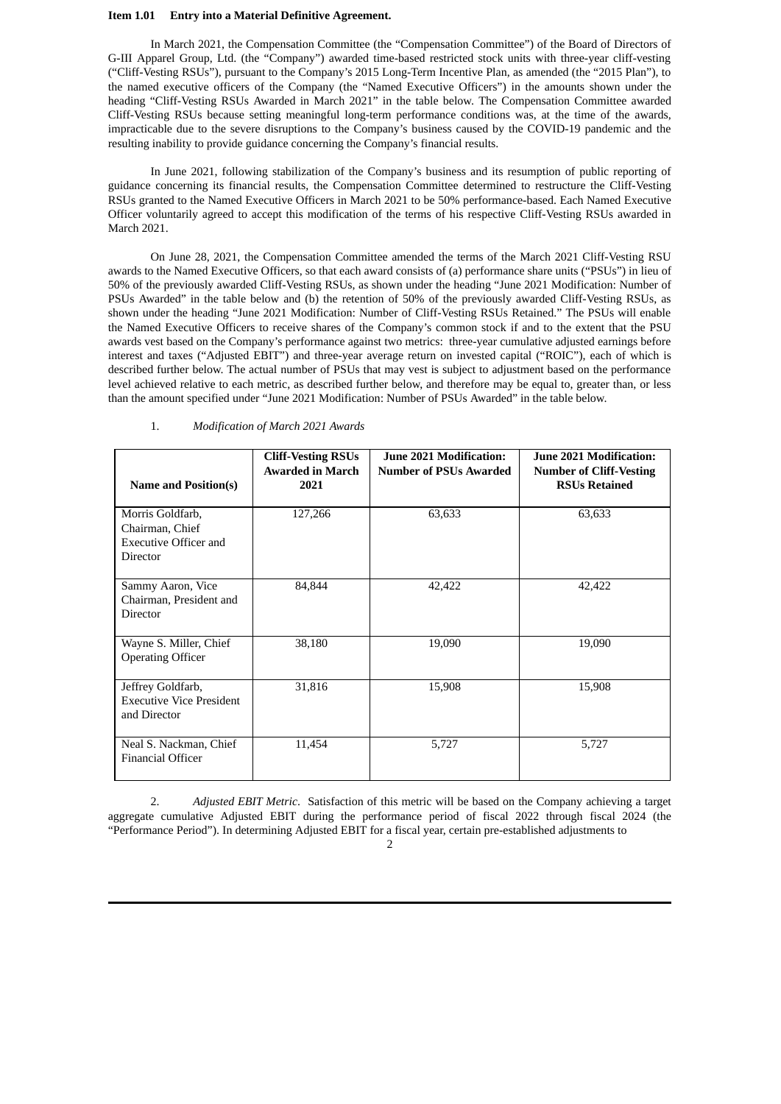#### **Item 1.01 Entry into a Material Definitive Agreement.**

In March 2021, the Compensation Committee (the "Compensation Committee") of the Board of Directors of G-III Apparel Group, Ltd. (the "Company") awarded time-based restricted stock units with three-year cliff-vesting ("Cliff-Vesting RSUs"), pursuant to the Company's 2015 Long-Term Incentive Plan, as amended (the "2015 Plan"), to the named executive officers of the Company (the "Named Executive Officers") in the amounts shown under the heading "Cliff-Vesting RSUs Awarded in March 2021" in the table below. The Compensation Committee awarded Cliff-Vesting RSUs because setting meaningful long-term performance conditions was, at the time of the awards, impracticable due to the severe disruptions to the Company's business caused by the COVID-19 pandemic and the resulting inability to provide guidance concerning the Company's financial results.

In June 2021, following stabilization of the Company's business and its resumption of public reporting of guidance concerning its financial results, the Compensation Committee determined to restructure the Cliff-Vesting RSUs granted to the Named Executive Officers in March 2021 to be 50% performance-based. Each Named Executive Officer voluntarily agreed to accept this modification of the terms of his respective Cliff-Vesting RSUs awarded in March 2021.

On June 28, 2021, the Compensation Committee amended the terms of the March 2021 Cliff-Vesting RSU awards to the Named Executive Officers, so that each award consists of (a) performance share units ("PSUs") in lieu of 50% of the previously awarded Cliff-Vesting RSUs, as shown under the heading "June 2021 Modification: Number of PSUs Awarded" in the table below and (b) the retention of 50% of the previously awarded Cliff-Vesting RSUs, as shown under the heading "June 2021 Modification: Number of Cliff-Vesting RSUs Retained." The PSUs will enable the Named Executive Officers to receive shares of the Company's common stock if and to the extent that the PSU awards vest based on the Company's performance against two metrics: three-year cumulative adjusted earnings before interest and taxes ("Adjusted EBIT") and three-year average return on invested capital ("ROIC"), each of which is described further below. The actual number of PSUs that may vest is subject to adjustment based on the performance level achieved relative to each metric, as described further below, and therefore may be equal to, greater than, or less than the amount specified under "June 2021 Modification: Number of PSUs Awarded" in the table below.

| <b>Name and Position(s)</b>                                                     | <b>Cliff-Vesting RSUs</b><br><b>Awarded in March</b><br>2021 | <b>June 2021 Modification:</b><br><b>Number of PSUs Awarded</b> | June 2021 Modification:<br><b>Number of Cliff-Vesting</b><br><b>RSUs Retained</b> |
|---------------------------------------------------------------------------------|--------------------------------------------------------------|-----------------------------------------------------------------|-----------------------------------------------------------------------------------|
| Morris Goldfarb,<br>Chairman, Chief<br><b>Executive Officer and</b><br>Director | 127,266                                                      | 63,633                                                          | 63,633                                                                            |
| Sammy Aaron, Vice<br>Chairman, President and<br><b>Director</b>                 | 84,844                                                       | 42,422                                                          | 42,422                                                                            |
| Wayne S. Miller, Chief<br><b>Operating Officer</b>                              | 38,180                                                       | 19,090                                                          | 19,090                                                                            |
| Jeffrey Goldfarb,<br><b>Executive Vice President</b><br>and Director            | 31,816                                                       | 15,908                                                          | 15,908                                                                            |
| Neal S. Nackman, Chief<br><b>Financial Officer</b>                              | 11,454                                                       | 5,727                                                           | 5,727                                                                             |

1. *Modification of March 2021 Awards*

2. *Adjusted EBIT Metric*. Satisfaction of this metric will be based on the Company achieving a target aggregate cumulative Adjusted EBIT during the performance period of fiscal 2022 through fiscal 2024 (the "Performance Period"). In determining Adjusted EBIT for a fiscal year, certain pre-established adjustments to

 $\mathcal{D}$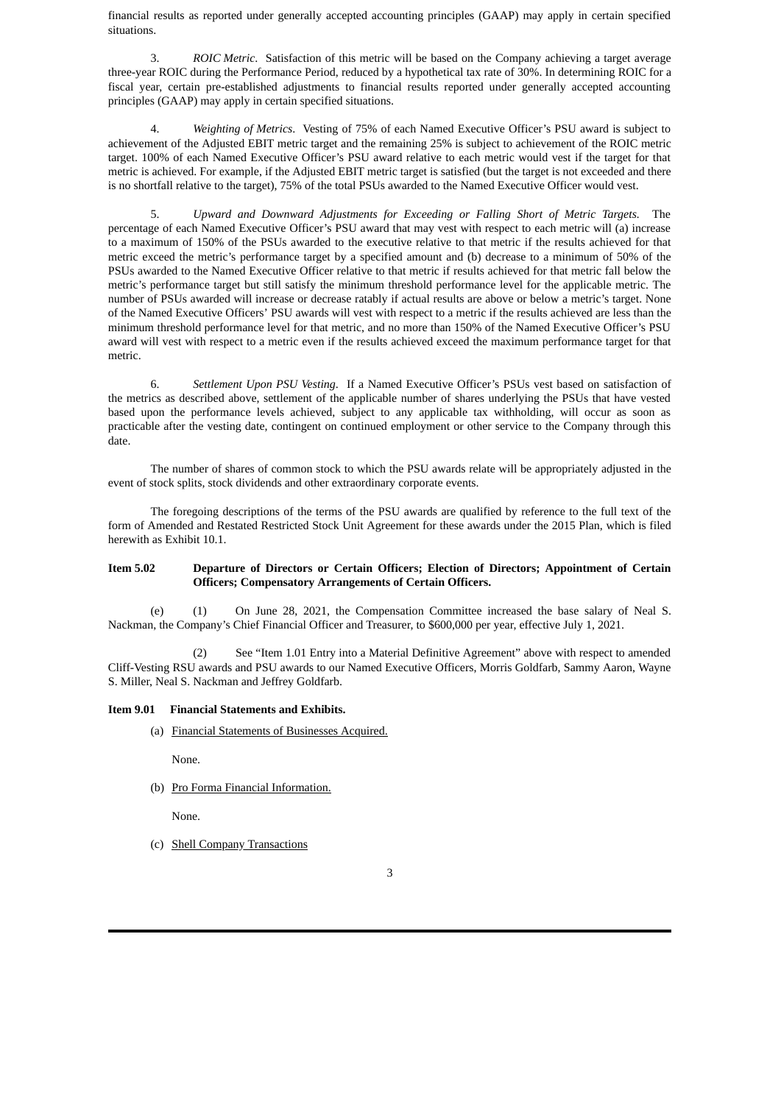financial results as reported under generally accepted accounting principles (GAAP) may apply in certain specified situations.

3. *ROIC Metric*. Satisfaction of this metric will be based on the Company achieving a target average three-year ROIC during the Performance Period, reduced by a hypothetical tax rate of 30%. In determining ROIC for a fiscal year, certain pre-established adjustments to financial results reported under generally accepted accounting principles (GAAP) may apply in certain specified situations.

4. *Weighting of Metrics*. Vesting of 75% of each Named Executive Officer's PSU award is subject to achievement of the Adjusted EBIT metric target and the remaining 25% is subject to achievement of the ROIC metric target. 100% of each Named Executive Officer's PSU award relative to each metric would vest if the target for that metric is achieved. For example, if the Adjusted EBIT metric target is satisfied (but the target is not exceeded and there is no shortfall relative to the target), 75% of the total PSUs awarded to the Named Executive Officer would vest.

5. *Upward and Downward Adjustments for Exceeding or Falling Short of Metric Targets.* The percentage of each Named Executive Officer's PSU award that may vest with respect to each metric will (a) increase to a maximum of 150% of the PSUs awarded to the executive relative to that metric if the results achieved for that metric exceed the metric's performance target by a specified amount and (b) decrease to a minimum of 50% of the PSUs awarded to the Named Executive Officer relative to that metric if results achieved for that metric fall below the metric's performance target but still satisfy the minimum threshold performance level for the applicable metric. The number of PSUs awarded will increase or decrease ratably if actual results are above or below a metric's target. None of the Named Executive Officers' PSU awards will vest with respect to a metric if the results achieved are less than the minimum threshold performance level for that metric, and no more than 150% of the Named Executive Officer's PSU award will vest with respect to a metric even if the results achieved exceed the maximum performance target for that metric.

6. *Settlement Upon PSU Vesting*. If a Named Executive Officer's PSUs vest based on satisfaction of the metrics as described above, settlement of the applicable number of shares underlying the PSUs that have vested based upon the performance levels achieved, subject to any applicable tax withholding, will occur as soon as practicable after the vesting date, contingent on continued employment or other service to the Company through this date.

The number of shares of common stock to which the PSU awards relate will be appropriately adjusted in the event of stock splits, stock dividends and other extraordinary corporate events.

The foregoing descriptions of the terms of the PSU awards are qualified by reference to the full text of the form of Amended and Restated Restricted Stock Unit Agreement for these awards under the 2015 Plan, which is filed herewith as Exhibit 10.1.

### **Item 5.02 Departure of Directors or Certain Officers; Election of Directors; Appointment of Certain Officers; Compensatory Arrangements of Certain Officers.**

(e) (1) On June 28, 2021, the Compensation Committee increased the base salary of Neal S. Nackman, the Company's Chief Financial Officer and Treasurer, to \$600,000 per year, effective July 1, 2021.

(2) See "Item 1.01 Entry into a Material Definitive Agreement" above with respect to amended Cliff-Vesting RSU awards and PSU awards to our Named Executive Officers, Morris Goldfarb, Sammy Aaron, Wayne S. Miller, Neal S. Nackman and Jeffrey Goldfarb.

### **Item 9.01 Financial Statements and Exhibits.**

(a) Financial Statements of Businesses Acquired.

None.

(b) Pro Forma Financial Information.

None.

(c) Shell Company Transactions

3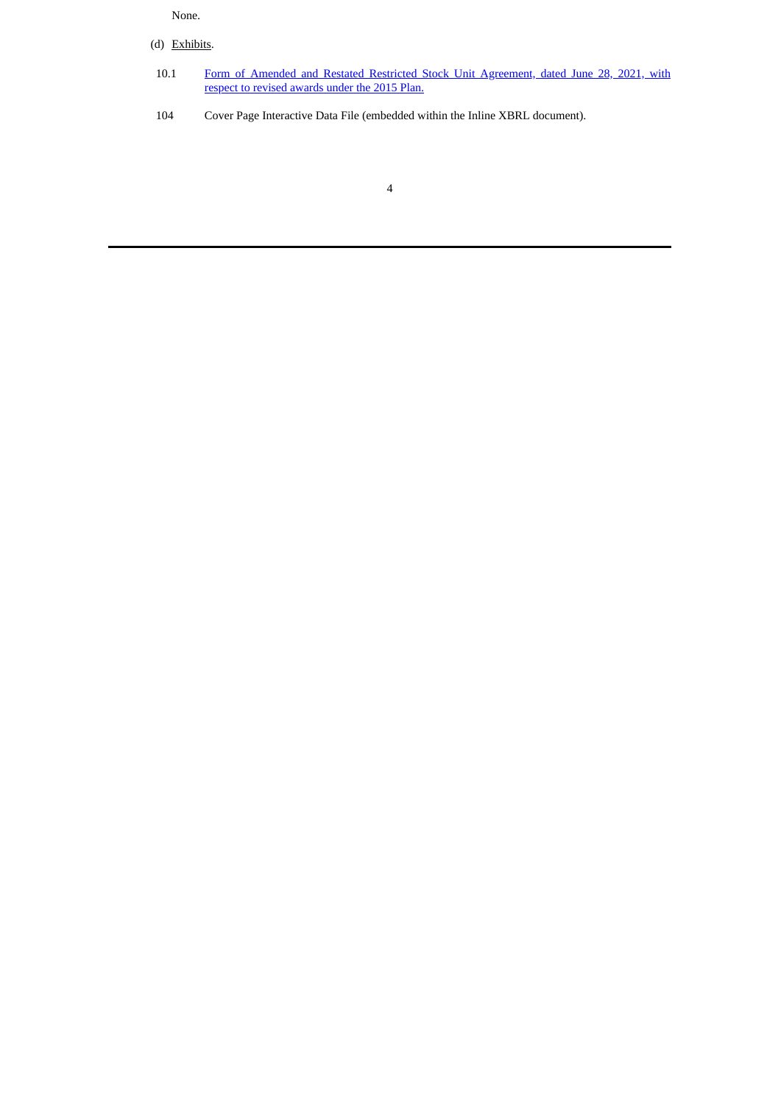### None.

- (d) Exhibits.
	- 10.1 Form of Amended and Restated Restricted Stock Unit [Agreement,](#page-6-0) dated June 28, 2021, with respect to revised awards under the 2015 Plan.
- 104 Cover Page Interactive Data File (embedded within the Inline XBRL document).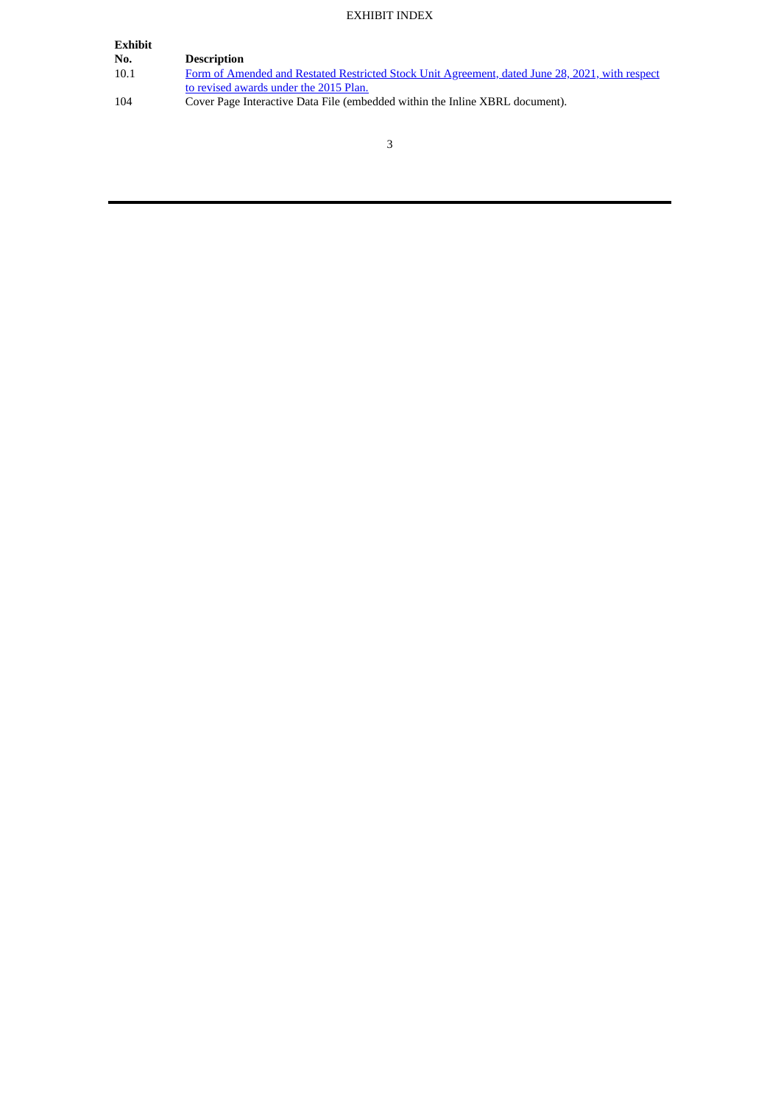### EXHIBIT INDEX

| Exhibit |                                                                                                 |
|---------|-------------------------------------------------------------------------------------------------|
| No.     | <b>Description</b>                                                                              |
| 10.1    | Form of Amended and Restated Restricted Stock Unit Agreement, dated June 28, 2021, with respect |
|         | to revised awards under the 2015 Plan.                                                          |
| 104     | Cover Page Interactive Data File (embedded within the Inline XBRL document).                    |
|         |                                                                                                 |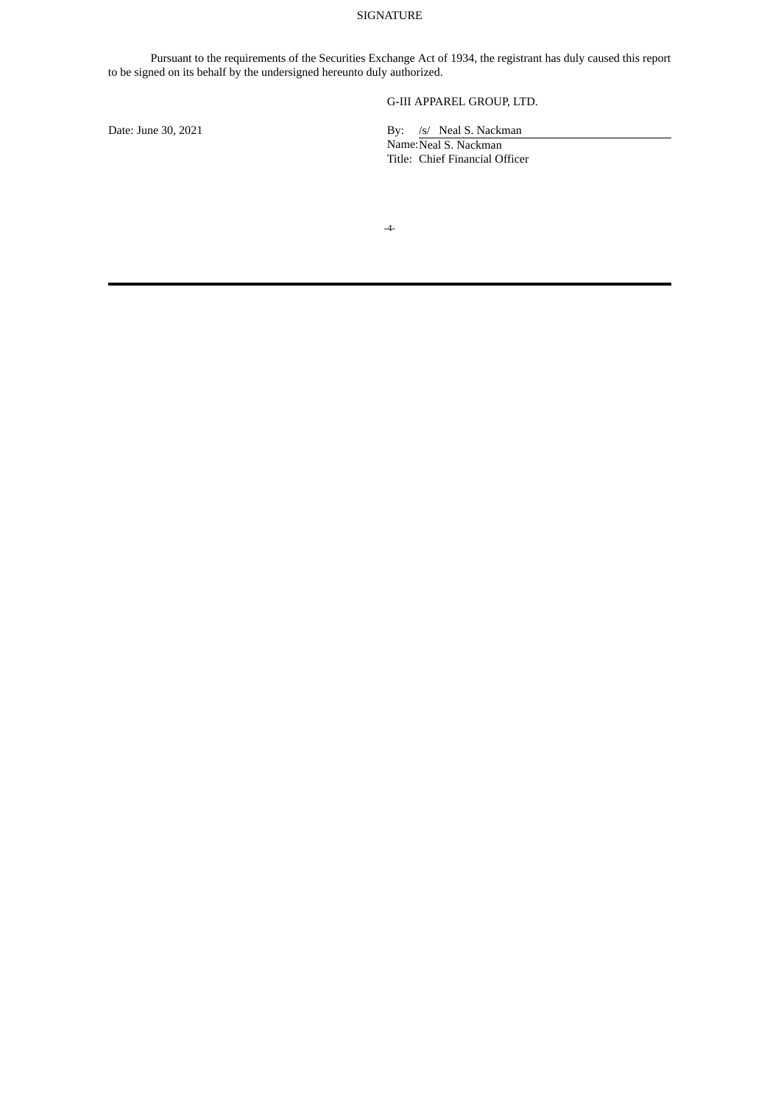### SIGNATURE

Pursuant to the requirements of the Securities Exchange Act of 1934, the registrant has duly caused this report to be signed on its behalf by the undersigned hereunto duly authorized.

## G-III APPAREL GROUP, LTD.

Date: June 30, 2021 By: /s/ Neal S. Nackman

Name: Neal S. Nackman Title: Chief Financial Officer

**-**4-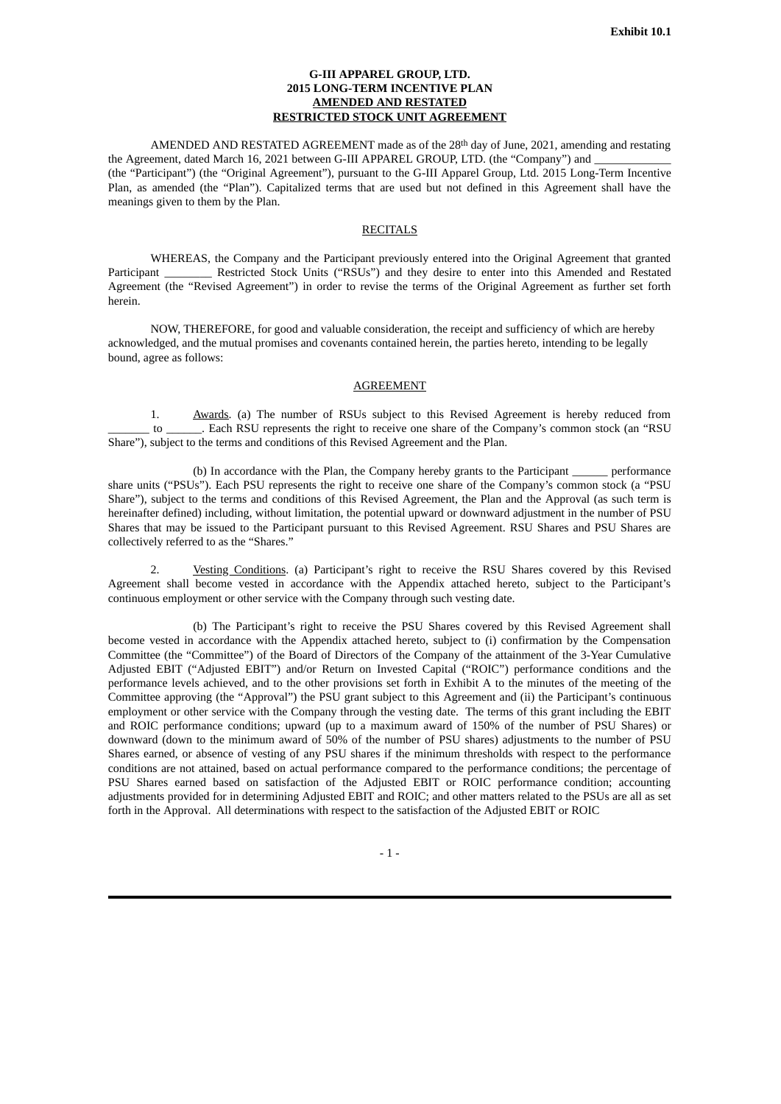### **G-III APPAREL GROUP, LTD. 2015 LONG-TERM INCENTIVE PLAN AMENDED AND RESTATED RESTRICTED STOCK UNIT AGREEMENT**

<span id="page-6-0"></span>AMENDED AND RESTATED AGREEMENT made as of the 28<sup>th</sup> day of June, 2021, amending and restating the Agreement, dated March 16, 2021 between G-III APPAREL GROUP, LTD. (the "Company") and (the "Participant") (the "Original Agreement"), pursuant to the G-III Apparel Group, Ltd. 2015 Long-Term Incentive Plan, as amended (the "Plan"). Capitalized terms that are used but not defined in this Agreement shall have the meanings given to them by the Plan.

### **RECITALS**

WHEREAS, the Company and the Participant previously entered into the Original Agreement that granted Participant \_\_\_\_\_\_\_\_ Restricted Stock Units ("RSUs") and they desire to enter into this Amended and Restated Agreement (the "Revised Agreement") in order to revise the terms of the Original Agreement as further set forth herein.

NOW, THEREFORE, for good and valuable consideration, the receipt and sufficiency of which are hereby acknowledged, and the mutual promises and covenants contained herein, the parties hereto, intending to be legally bound, agree as follows:

#### AGREEMENT

1. Awards. (a) The number of RSUs subject to this Revised Agreement is hereby reduced from \_\_\_\_\_\_\_ to \_\_\_\_\_\_. Each RSU represents the right to receive one share of the Company's common stock (an "RSU Share"), subject to the terms and conditions of this Revised Agreement and the Plan.

(b) In accordance with the Plan, the Company hereby grants to the Participant performance share units ("PSUs"). Each PSU represents the right to receive one share of the Company's common stock (a "PSU Share"), subject to the terms and conditions of this Revised Agreement, the Plan and the Approval (as such term is hereinafter defined) including, without limitation, the potential upward or downward adjustment in the number of PSU Shares that may be issued to the Participant pursuant to this Revised Agreement. RSU Shares and PSU Shares are collectively referred to as the "Shares."

2. Vesting Conditions. (a) Participant's right to receive the RSU Shares covered by this Revised Agreement shall become vested in accordance with the Appendix attached hereto, subject to the Participant's continuous employment or other service with the Company through such vesting date.

(b) The Participant's right to receive the PSU Shares covered by this Revised Agreement shall become vested in accordance with the Appendix attached hereto, subject to (i) confirmation by the Compensation Committee (the "Committee") of the Board of Directors of the Company of the attainment of the 3-Year Cumulative Adjusted EBIT ("Adjusted EBIT") and/or Return on Invested Capital ("ROIC") performance conditions and the performance levels achieved, and to the other provisions set forth in Exhibit A to the minutes of the meeting of the Committee approving (the "Approval") the PSU grant subject to this Agreement and (ii) the Participant's continuous employment or other service with the Company through the vesting date. The terms of this grant including the EBIT and ROIC performance conditions; upward (up to a maximum award of 150% of the number of PSU Shares) or downward (down to the minimum award of 50% of the number of PSU shares) adjustments to the number of PSU Shares earned, or absence of vesting of any PSU shares if the minimum thresholds with respect to the performance conditions are not attained, based on actual performance compared to the performance conditions; the percentage of PSU Shares earned based on satisfaction of the Adjusted EBIT or ROIC performance condition; accounting adjustments provided for in determining Adjusted EBIT and ROIC; and other matters related to the PSUs are all as set forth in the Approval. All determinations with respect to the satisfaction of the Adjusted EBIT or ROIC

- 1 -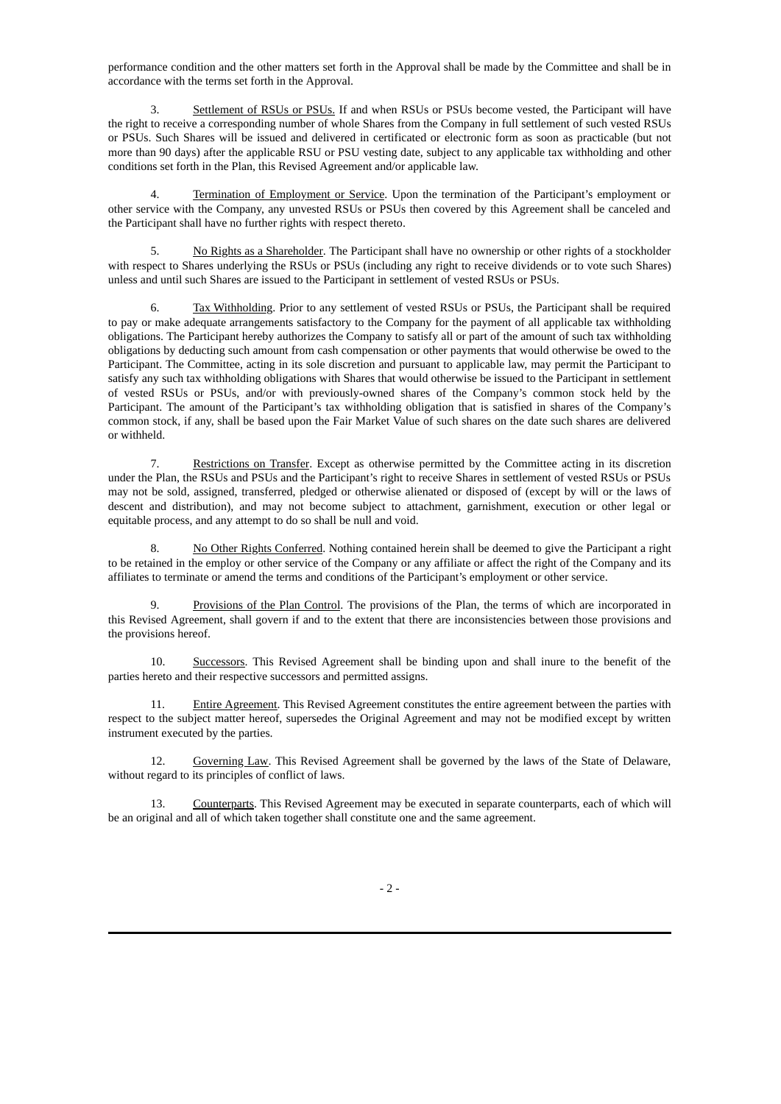performance condition and the other matters set forth in the Approval shall be made by the Committee and shall be in accordance with the terms set forth in the Approval.

Settlement of RSUs or PSUs. If and when RSUs or PSUs become vested, the Participant will have the right to receive a corresponding number of whole Shares from the Company in full settlement of such vested RSUs or PSUs. Such Shares will be issued and delivered in certificated or electronic form as soon as practicable (but not more than 90 days) after the applicable RSU or PSU vesting date, subject to any applicable tax withholding and other conditions set forth in the Plan, this Revised Agreement and/or applicable law.

Termination of Employment or Service. Upon the termination of the Participant's employment or other service with the Company, any unvested RSUs or PSUs then covered by this Agreement shall be canceled and the Participant shall have no further rights with respect thereto.

5. No Rights as a Shareholder. The Participant shall have no ownership or other rights of a stockholder with respect to Shares underlying the RSUs or PSUs (including any right to receive dividends or to vote such Shares) unless and until such Shares are issued to the Participant in settlement of vested RSUs or PSUs.

6. Tax Withholding. Prior to any settlement of vested RSUs or PSUs, the Participant shall be required to pay or make adequate arrangements satisfactory to the Company for the payment of all applicable tax withholding obligations. The Participant hereby authorizes the Company to satisfy all or part of the amount of such tax withholding obligations by deducting such amount from cash compensation or other payments that would otherwise be owed to the Participant. The Committee, acting in its sole discretion and pursuant to applicable law, may permit the Participant to satisfy any such tax withholding obligations with Shares that would otherwise be issued to the Participant in settlement of vested RSUs or PSUs, and/or with previously-owned shares of the Company's common stock held by the Participant. The amount of the Participant's tax withholding obligation that is satisfied in shares of the Company's common stock, if any, shall be based upon the Fair Market Value of such shares on the date such shares are delivered or withheld.

7. Restrictions on Transfer. Except as otherwise permitted by the Committee acting in its discretion under the Plan, the RSUs and PSUs and the Participant's right to receive Shares in settlement of vested RSUs or PSUs may not be sold, assigned, transferred, pledged or otherwise alienated or disposed of (except by will or the laws of descent and distribution), and may not become subject to attachment, garnishment, execution or other legal or equitable process, and any attempt to do so shall be null and void.

No Other Rights Conferred. Nothing contained herein shall be deemed to give the Participant a right to be retained in the employ or other service of the Company or any affiliate or affect the right of the Company and its affiliates to terminate or amend the terms and conditions of the Participant's employment or other service.

9. Provisions of the Plan Control. The provisions of the Plan, the terms of which are incorporated in this Revised Agreement, shall govern if and to the extent that there are inconsistencies between those provisions and the provisions hereof.

10. Successors. This Revised Agreement shall be binding upon and shall inure to the benefit of the parties hereto and their respective successors and permitted assigns.

11. Entire Agreement. This Revised Agreement constitutes the entire agreement between the parties with respect to the subject matter hereof, supersedes the Original Agreement and may not be modified except by written instrument executed by the parties.

12. Governing Law. This Revised Agreement shall be governed by the laws of the State of Delaware, without regard to its principles of conflict of laws.

13. Counterparts. This Revised Agreement may be executed in separate counterparts, each of which will be an original and all of which taken together shall constitute one and the same agreement.

 $-2-$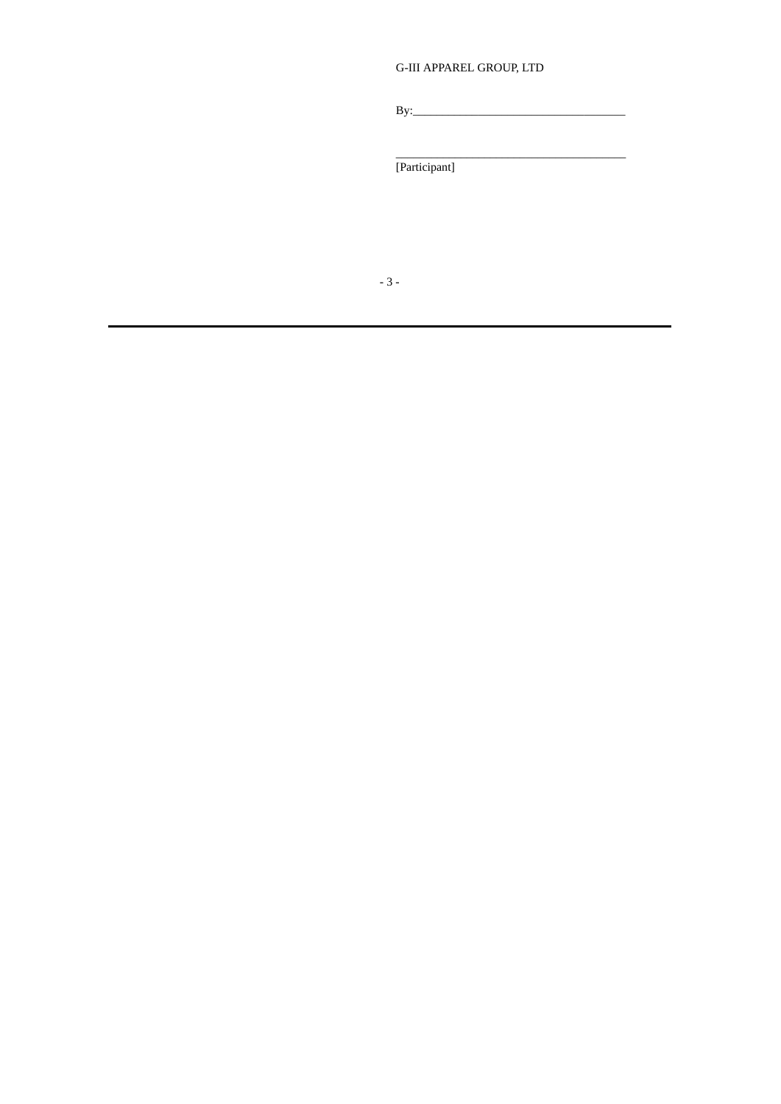# **G-III APPAREL GROUP, LTD**

 $\mathbf{B}$ y:

[Participant]

 $-3-$